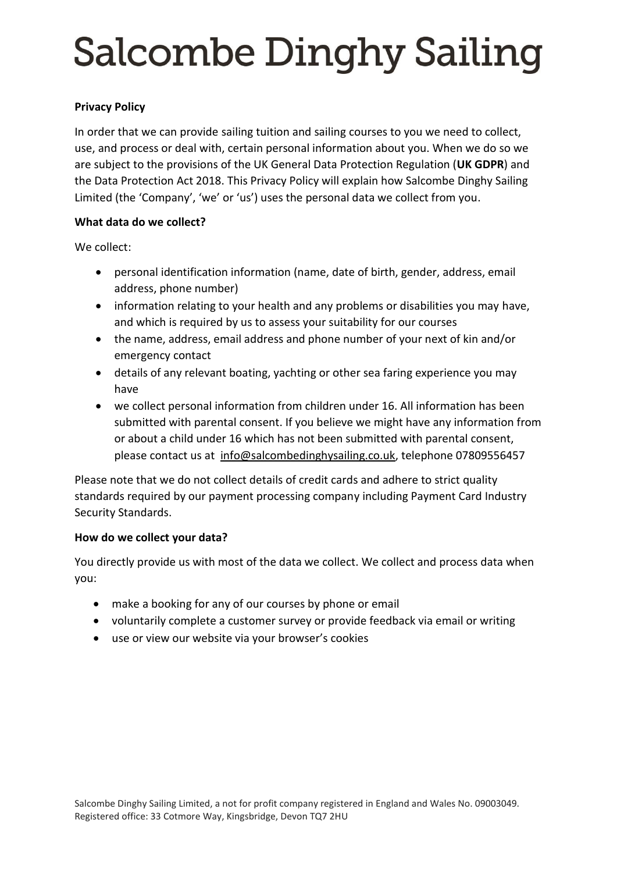## **Privacy Policy**

In order that we can provide sailing tuition and sailing courses to you we need to collect, use, and process or deal with, certain personal information about you. When we do so we are subject to the provisions of the UK General Data Protection Regulation (**UK GDPR**) and the Data Protection Act 2018. This Privacy Policy will explain how Salcombe Dinghy Sailing Limited (the 'Company', 'we' or 'us') uses the personal data we collect from you.

#### **What data do we collect?**

We collect:

- personal identification information (name, date of birth, gender, address, email address, phone number)
- information relating to your health and any problems or disabilities you may have, and which is required by us to assess your suitability for our courses
- the name, address, email address and phone number of your next of kin and/or emergency contact
- details of any relevant boating, yachting or other sea faring experience you may have
- we collect personal information from children under 16. All information has been submitted with parental consent. If you believe we might have any information from or about a child under 16 which has not been submitted with parental consent, please contact us at [info@salcombedinghysailing.co.uk,](mailto:info@salcombedinghysailing.co.uk) telephone 07809556457

Please note that we do not collect details of credit cards and adhere to strict quality standards required by our payment processing company including Payment Card Industry Security Standards.

## **How do we collect your data?**

You directly provide us with most of the data we collect. We collect and process data when you:

- make a booking for any of our courses by phone or email
- voluntarily complete a customer survey or provide feedback via email or writing
- use or view our website via your browser's cookies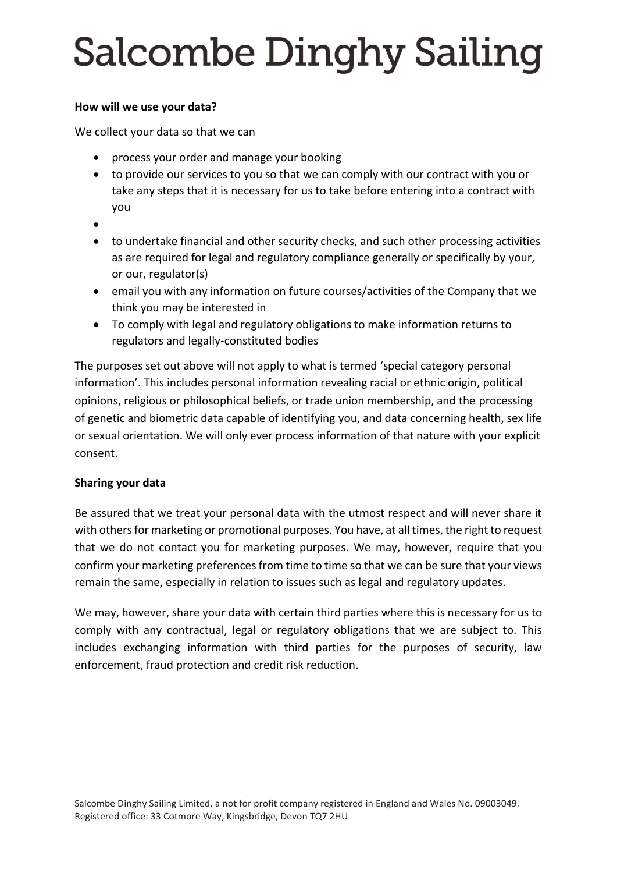### **How will we use your data?**

We collect your data so that we can

- process your order and manage your booking
- to provide our services to you so that we can comply with our contract with you or take any steps that it is necessary for us to take before entering into a contract with you
- •
- to undertake financial and other security checks, and such other processing activities as are required for legal and regulatory compliance generally or specifically by your, or our, regulator(s)
- email you with any information on future courses/activities of the Company that we think you may be interested in
- To comply with legal and regulatory obligations to make information returns to regulators and legally-constituted bodies

The purposes set out above will not apply to what is termed 'special category personal information'. This includes personal information revealing racial or ethnic origin, political opinions, religious or philosophical beliefs, or trade union membership, and the processing of genetic and biometric data capable of identifying you, and data concerning health, sex life or sexual orientation. We will only ever process information of that nature with your explicit consent.

## **Sharing your data**

Be assured that we treat your personal data with the utmost respect and will never share it with others for marketing or promotional purposes. You have, at all times, the right to request that we do not contact you for marketing purposes. We may, however, require that you confirm your marketing preferences from time to time so that we can be sure that your views remain the same, especially in relation to issues such as legal and regulatory updates.

We may, however, share your data with certain third parties where this is necessary for us to comply with any contractual, legal or regulatory obligations that we are subject to. This includes exchanging information with third parties for the purposes of security, law enforcement, fraud protection and credit risk reduction.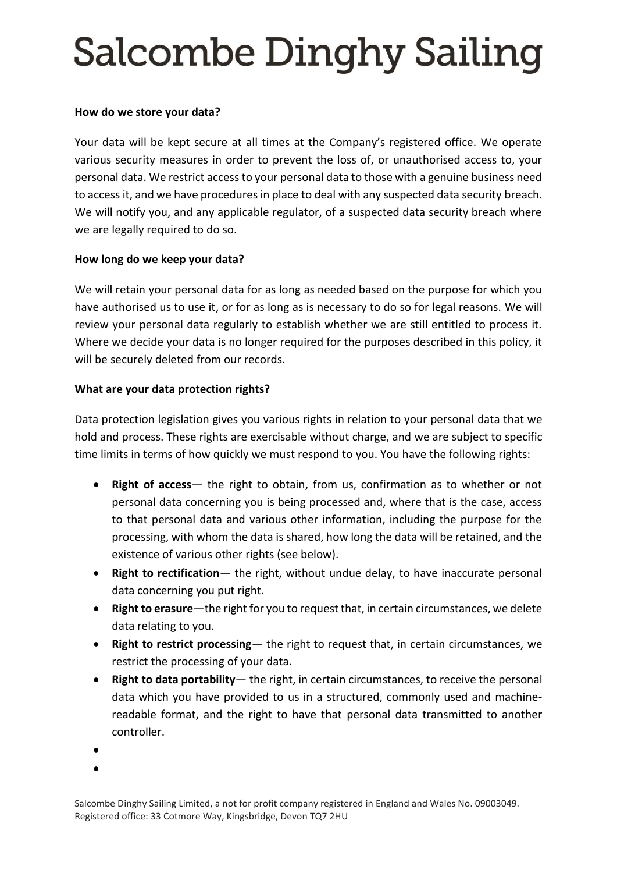#### **How do we store your data?**

Your data will be kept secure at all times at the Company's registered office. We operate various security measures in order to prevent the loss of, or unauthorised access to, your personal data. We restrict access to your personal data to those with a genuine business need to access it, and we have procedures in place to deal with any suspected data security breach. We will notify you, and any applicable regulator, of a suspected data security breach where we are legally required to do so.

## **How long do we keep your data?**

We will retain your personal data for as long as needed based on the purpose for which you have authorised us to use it, or for as long as is necessary to do so for legal reasons. We will review your personal data regularly to establish whether we are still entitled to process it. Where we decide your data is no longer required for the purposes described in this policy, it will be securely deleted from our records.

#### **What are your data protection rights?**

Data protection legislation gives you various rights in relation to your personal data that we hold and process. These rights are exercisable without charge, and we are subject to specific time limits in terms of how quickly we must respond to you. You have the following rights:

- **Right of access** the right to obtain, from us, confirmation as to whether or not personal data concerning you is being processed and, where that is the case, access to that personal data and various other information, including the purpose for the processing, with whom the data is shared, how long the data will be retained, and the existence of various other rights (see below).
- **Right to rectification** the right, without undue delay, to have inaccurate personal data concerning you put right.
- **Right to erasure**—the right for you to request that, in certain circumstances, we delete data relating to you.
- **Right to restrict processing** the right to request that, in certain circumstances, we restrict the processing of your data.
- **Right to data portability** the right, in certain circumstances, to receive the personal data which you have provided to us in a structured, commonly used and machinereadable format, and the right to have that personal data transmitted to another controller.
- •

•